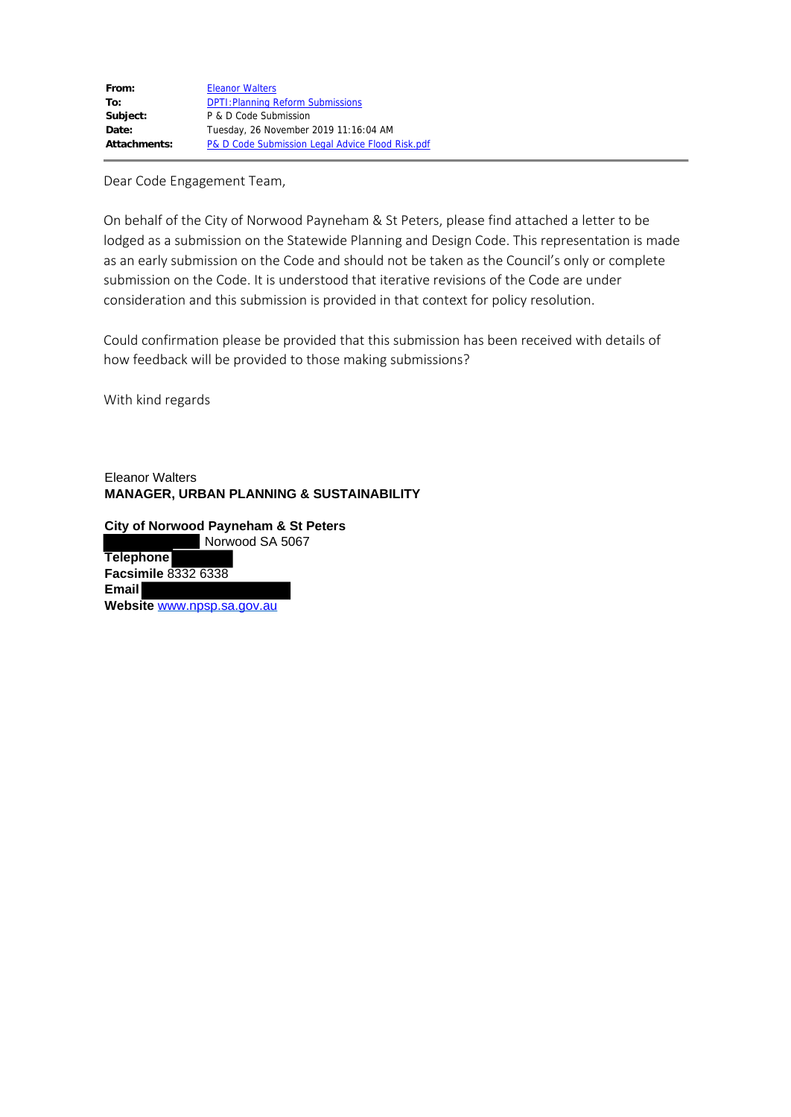| From:        | <b>Eleanor Walters</b>                           |
|--------------|--------------------------------------------------|
| To:          | <b>DPTI: Planning Reform Submissions</b>         |
| Subject:     | P & D Code Submission                            |
| Date:        | Tuesday, 26 November 2019 11:16:04 AM            |
| Attachments: | P& D Code Submission Legal Advice Flood Risk.pdf |

Dear Code Engagement Team,

On behalf of the City of Norwood Payneham & St Peters, please find attached a letter to be lodged as a submission on the Statewide Planning and Design Code. This representation is made as an early submission on the Code and should not be taken as the Council's only or complete submission on the Code. It is understood that iterative revisions of the Code are under consideration and this submission is provided in that context for policy resolution.

Could confirmation please be provided that this submission has been received with details of how feedback will be provided to those making submissions?

With kind regards

Eleanor Walters **MANAGER, URBAN PLANNING & SUSTAINABILITY** 

**City of Norwood Payneham & St Peters** Norwood SA 5067 **Telephone Facsimile** 8332 6338 **Email Website** [www.npsp.sa.gov.au](https://protect-au.mimecast.com/s/FwdwCE8kkOh9277FwCkDB?domain=npsp.sa.gov.au)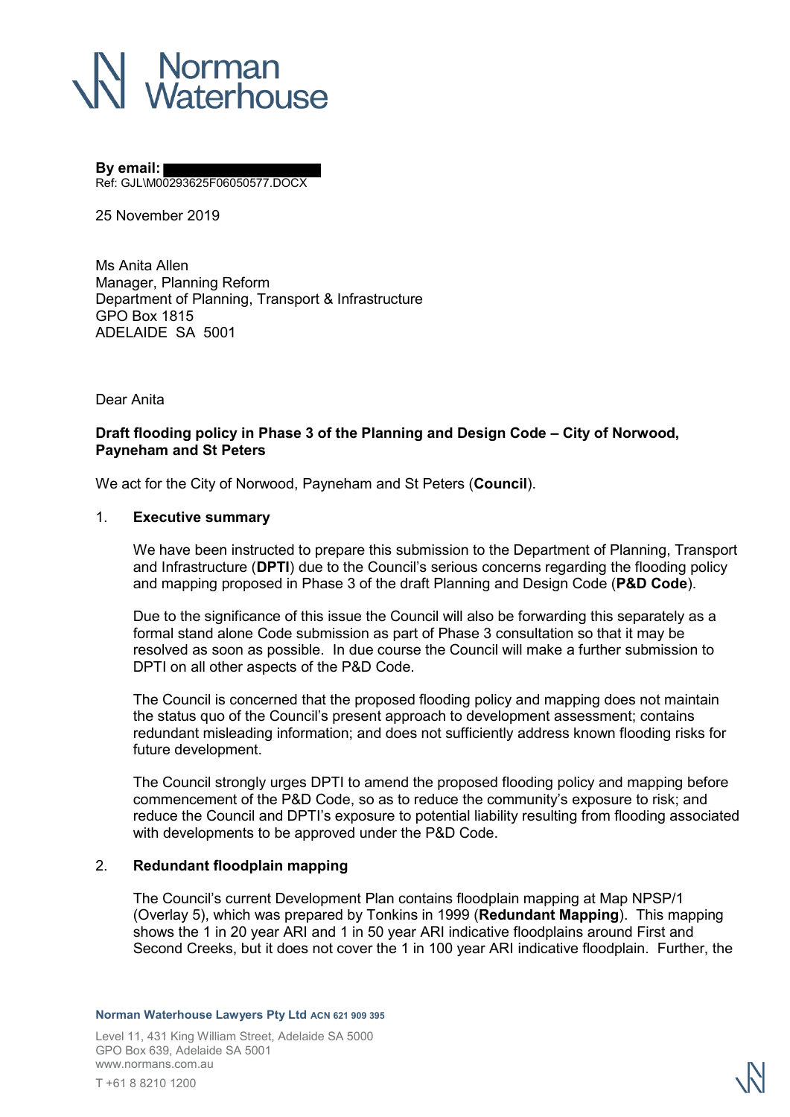# | Norman<br>| Waterhouse

#### **By email:**

Ref: GJL\M00293625F06050577.DOCX

25 November 2019

Ms Anita Allen Manager, Planning Reform Department of Planning, Transport & Infrastructure GPO Box 1815 ADELAIDE SA 5001

Dear Anita

# **Draft flooding policy in Phase 3 of the Planning and Design Code – City of Norwood, Payneham and St Peters**

We act for the City of Norwood, Payneham and St Peters (**Council**).

### 1. **Executive summary**

We have been instructed to prepare this submission to the Department of Planning, Transport and Infrastructure (**DPTI**) due to the Council's serious concerns regarding the flooding policy and mapping proposed in Phase 3 of the draft Planning and Design Code (**P&D Code**).

Due to the significance of this issue the Council will also be forwarding this separately as a formal stand alone Code submission as part of Phase 3 consultation so that it may be resolved as soon as possible. In due course the Council will make a further submission to DPTI on all other aspects of the P&D Code.

The Council is concerned that the proposed flooding policy and mapping does not maintain the status quo of the Council's present approach to development assessment; contains redundant misleading information; and does not sufficiently address known flooding risks for future development.

The Council strongly urges DPTI to amend the proposed flooding policy and mapping before commencement of the P&D Code, so as to reduce the community's exposure to risk; and reduce the Council and DPTI's exposure to potential liability resulting from flooding associated with developments to be approved under the P&D Code.

# 2. **Redundant floodplain mapping**

The Council's current Development Plan contains floodplain mapping at Map NPSP/1 (Overlay 5), which was prepared by Tonkins in 1999 (**Redundant Mapping**). This mapping shows the 1 in 20 year ARI and 1 in 50 year ARI indicative floodplains around First and Second Creeks, but it does not cover the 1 in 100 year ARI indicative floodplain. Further, the

**Norman Waterhouse Lawyers Pty Ltd ACN 621 909 395**

Level 11, 431 King William Street, Adelaide SA 5000 GPO Box 639, Adelaide SA 5001 www.normans.com.au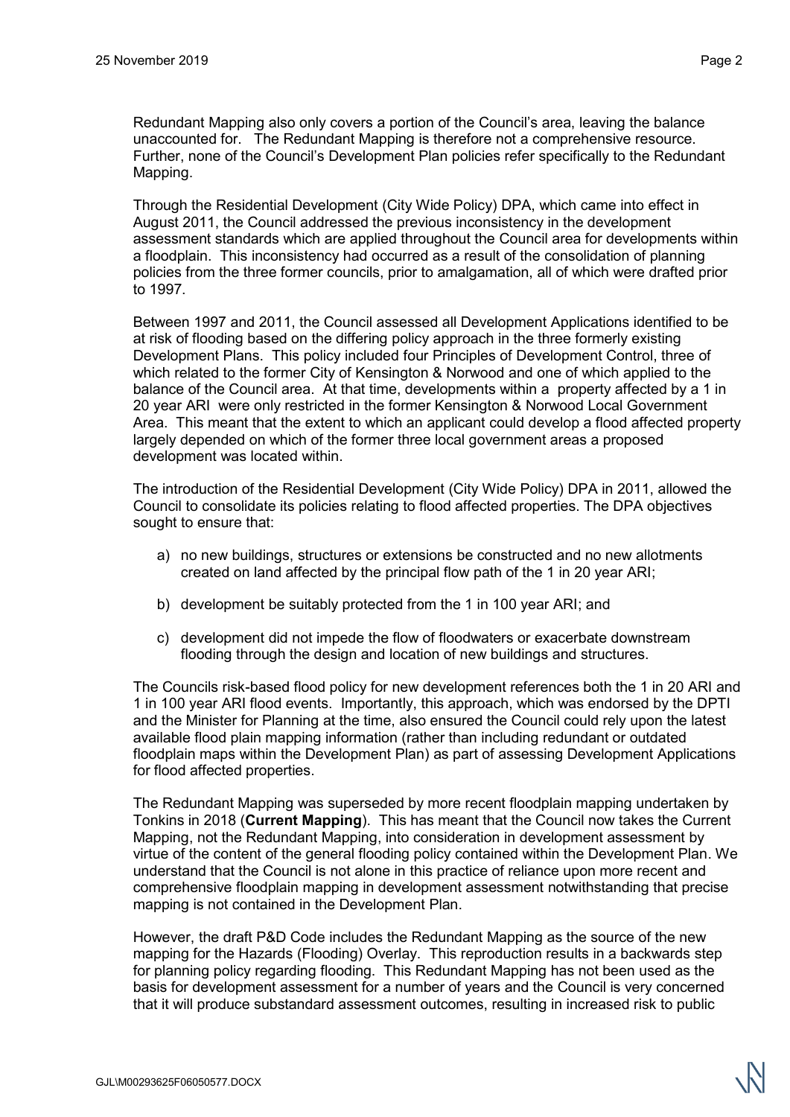Redundant Mapping also only covers a portion of the Council's area, leaving the balance unaccounted for. The Redundant Mapping is therefore not a comprehensive resource. Further, none of the Council's Development Plan policies refer specifically to the Redundant Mapping.

Through the Residential Development (City Wide Policy) DPA, which came into effect in August 2011, the Council addressed the previous inconsistency in the development assessment standards which are applied throughout the Council area for developments within a floodplain. This inconsistency had occurred as a result of the consolidation of planning policies from the three former councils, prior to amalgamation, all of which were drafted prior to 1997.

Between 1997 and 2011, the Council assessed all Development Applications identified to be at risk of flooding based on the differing policy approach in the three formerly existing Development Plans. This policy included four Principles of Development Control, three of which related to the former City of Kensington & Norwood and one of which applied to the balance of the Council area. At that time, developments within a property affected by a 1 in 20 year ARI were only restricted in the former Kensington & Norwood Local Government Area. This meant that the extent to which an applicant could develop a flood affected property largely depended on which of the former three local government areas a proposed development was located within.

The introduction of the Residential Development (City Wide Policy) DPA in 2011, allowed the Council to consolidate its policies relating to flood affected properties. The DPA objectives sought to ensure that:

- a) no new buildings, structures or extensions be constructed and no new allotments created on land affected by the principal flow path of the 1 in 20 year ARI;
- b) development be suitably protected from the 1 in 100 year ARI; and
- c) development did not impede the flow of floodwaters or exacerbate downstream flooding through the design and location of new buildings and structures.

The Councils risk-based flood policy for new development references both the 1 in 20 ARI and 1 in 100 year ARI flood events. Importantly, this approach, which was endorsed by the DPTI and the Minister for Planning at the time, also ensured the Council could rely upon the latest available flood plain mapping information (rather than including redundant or outdated floodplain maps within the Development Plan) as part of assessing Development Applications for flood affected properties.

The Redundant Mapping was superseded by more recent floodplain mapping undertaken by Tonkins in 2018 (**Current Mapping**). This has meant that the Council now takes the Current Mapping, not the Redundant Mapping, into consideration in development assessment by virtue of the content of the general flooding policy contained within the Development Plan. We understand that the Council is not alone in this practice of reliance upon more recent and comprehensive floodplain mapping in development assessment notwithstanding that precise mapping is not contained in the Development Plan.

However, the draft P&D Code includes the Redundant Mapping as the source of the new mapping for the Hazards (Flooding) Overlay. This reproduction results in a backwards step for planning policy regarding flooding. This Redundant Mapping has not been used as the basis for development assessment for a number of years and the Council is very concerned that it will produce substandard assessment outcomes, resulting in increased risk to public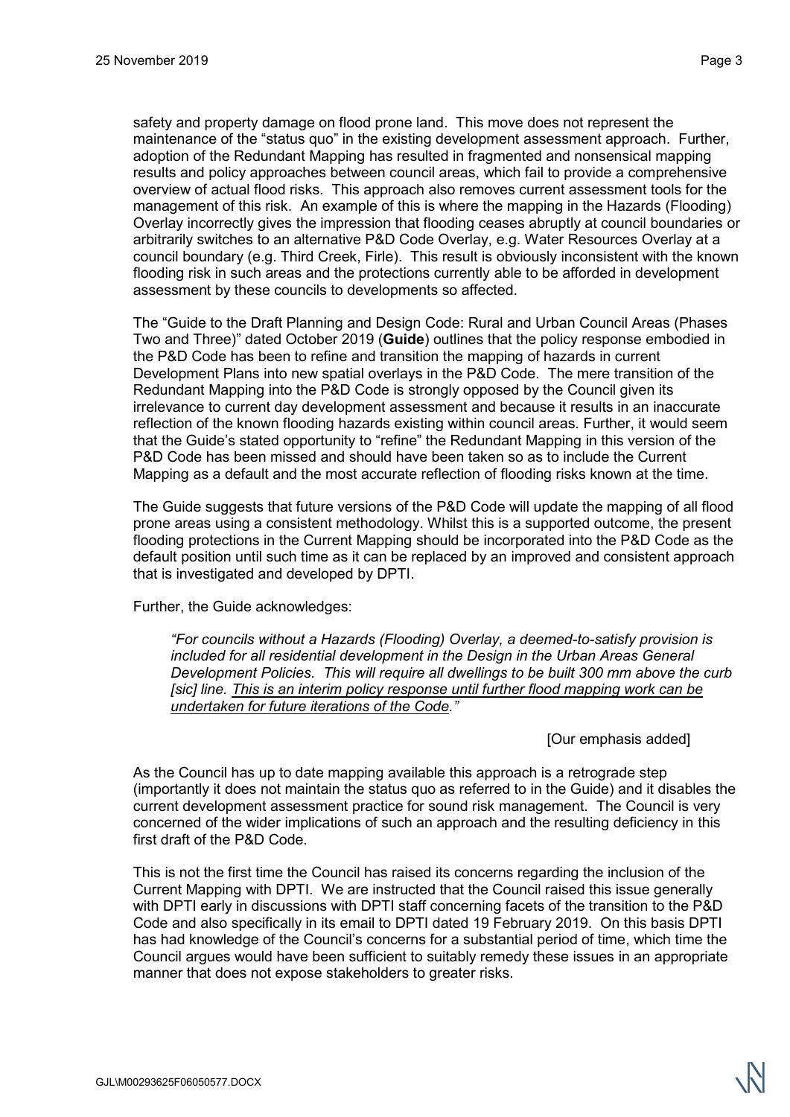safety and property damage on flood prone land. This move does not represent the maintenance of the "status quo" in the existing development assessment approach. Further, adoption of the Redundant Mapping has resulted in fragmented and nonsensical mapping results and policy approaches between council areas, which fail to provide a comprehensive overview of actual flood risks. This approach also removes current assessment tools for the management of this risk. An example of this is where the mapping in the Hazards (Flooding) Overlay incorrectly gives the impression that flooding ceases abruptly at council boundaries or arbitrarily switches to an alternative P&D Code Overlay, e.g. Water Resources Overlay at a council boundary (e.g. Third Creek, Firle). This result is obviously inconsistent with the known flooding risk in such areas and the protections currently able to be afforded in development assessment by these councils to developments so affected.

The "Guide to the Draft Planning and Design Code: Rural and Urban Council Areas (Phases Two and Three)" dated October 2019 (**Guide**) outlines that the policy response embodied in the P&D Code has been to refine and transition the mapping of hazards in current Development Plans into new spatial overlays in the P&D Code. The mere transition of the Redundant Mapping into the P&D Code is strongly opposed by the Council given its irrelevance to current day development assessment and because it results in an inaccurate reflection of the known flooding hazards existing within council areas. Further, it would seem that the Guide's stated opportunity to "refine" the Redundant Mapping in this version of the P&D Code has been missed and should have been taken so as to include the Current Mapping as a default and the most accurate reflection of flooding risks known at the time.

The Guide suggests that future versions of the P&D Code will update the mapping of all flood prone areas using a consistent methodology. Whilst this is a supported outcome, the present flooding protections in the Current Mapping should be incorporated into the P&D Code as the default position until such time as it can be replaced by an improved and consistent approach that is investigated and developed by DPTI.

Further, the Guide acknowledges:

*"For councils without a Hazards (Flooding) Overlay, a deemed-to-satisfy provision is included for all residential development in the Design in the Urban Areas General Development Policies. This will require all dwellings to be built 300 mm above the curb [sic] line. This is an interim policy response until further flood mapping work can be undertaken for future iterations of the Code."*

[Our emphasis added]

As the Council has up to date mapping available this approach is a retrograde step (importantly it does not maintain the status quo as referred to in the Guide) and it disables the current development assessment practice for sound risk management. The Council is very concerned of the wider implications of such an approach and the resulting deficiency in this first draft of the P&D Code.

This is not the first time the Council has raised its concerns regarding the inclusion of the Current Mapping with DPTI. We are instructed that the Council raised this issue generally with DPTI early in discussions with DPTI staff concerning facets of the transition to the P&D Code and also specifically in its email to DPTI dated 19 February 2019. On this basis DPTI has had knowledge of the Council's concerns for a substantial period of time, which time the Council argues would have been sufficient to suitably remedy these issues in an appropriate manner that does not expose stakeholders to greater risks.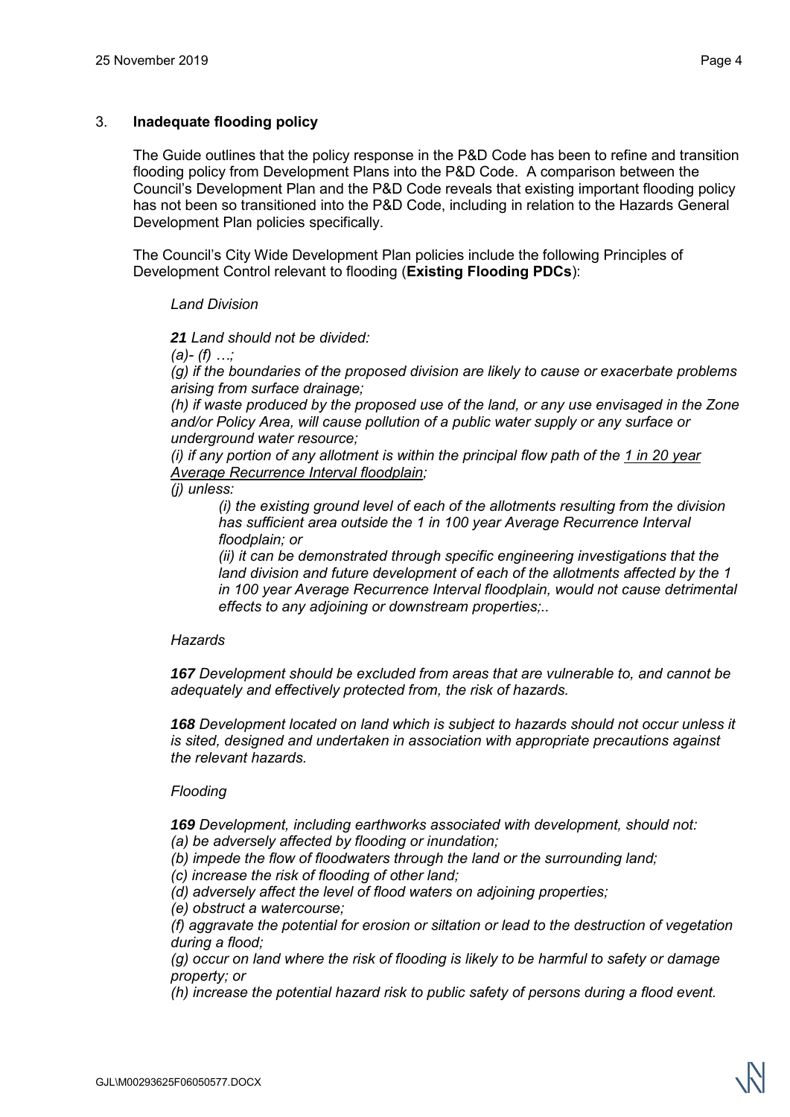## 3. **Inadequate flooding policy**

The Guide outlines that the policy response in the P&D Code has been to refine and transition flooding policy from Development Plans into the P&D Code. A comparison between the Council's Development Plan and the P&D Code reveals that existing important flooding policy has not been so transitioned into the P&D Code, including in relation to the Hazards General Development Plan policies specifically.

The Council's City Wide Development Plan policies include the following Principles of Development Control relevant to flooding (**Existing Flooding PDCs**):

#### *Land Division*

*21 Land should not be divided:*

*(a)- (f) …;* 

*(g) if the boundaries of the proposed division are likely to cause or exacerbate problems arising from surface drainage;* 

*(h) if waste produced by the proposed use of the land, or any use envisaged in the Zone and/or Policy Area, will cause pollution of a public water supply or any surface or underground water resource;* 

*(i) if any portion of any allotment is within the principal flow path of the 1 in 20 year Average Recurrence Interval floodplain;* 

#### *(j) unless:*

*(i) the existing ground level of each of the allotments resulting from the division has sufficient area outside the 1 in 100 year Average Recurrence Interval floodplain; or* 

*(ii) it can be demonstrated through specific engineering investigations that the land division and future development of each of the allotments affected by the 1 in 100 year Average Recurrence Interval floodplain, would not cause detrimental effects to any adjoining or downstream properties;..* 

#### *Hazards*

*167 Development should be excluded from areas that are vulnerable to, and cannot be adequately and effectively protected from, the risk of hazards.* 

*168 Development located on land which is subject to hazards should not occur unless it is sited, designed and undertaken in association with appropriate precautions against the relevant hazards.* 

#### *Flooding*

*169 Development, including earthworks associated with development, should not: (a) be adversely affected by flooding or inundation;* 

*(b) impede the flow of floodwaters through the land or the surrounding land;* 

*(c) increase the risk of flooding of other land;* 

*(d) adversely affect the level of flood waters on adjoining properties;* 

*(e) obstruct a watercourse;* 

*(f) aggravate the potential for erosion or siltation or lead to the destruction of vegetation during a flood;* 

*(g) occur on land where the risk of flooding is likely to be harmful to safety or damage property; or* 

*(h) increase the potential hazard risk to public safety of persons during a flood event.*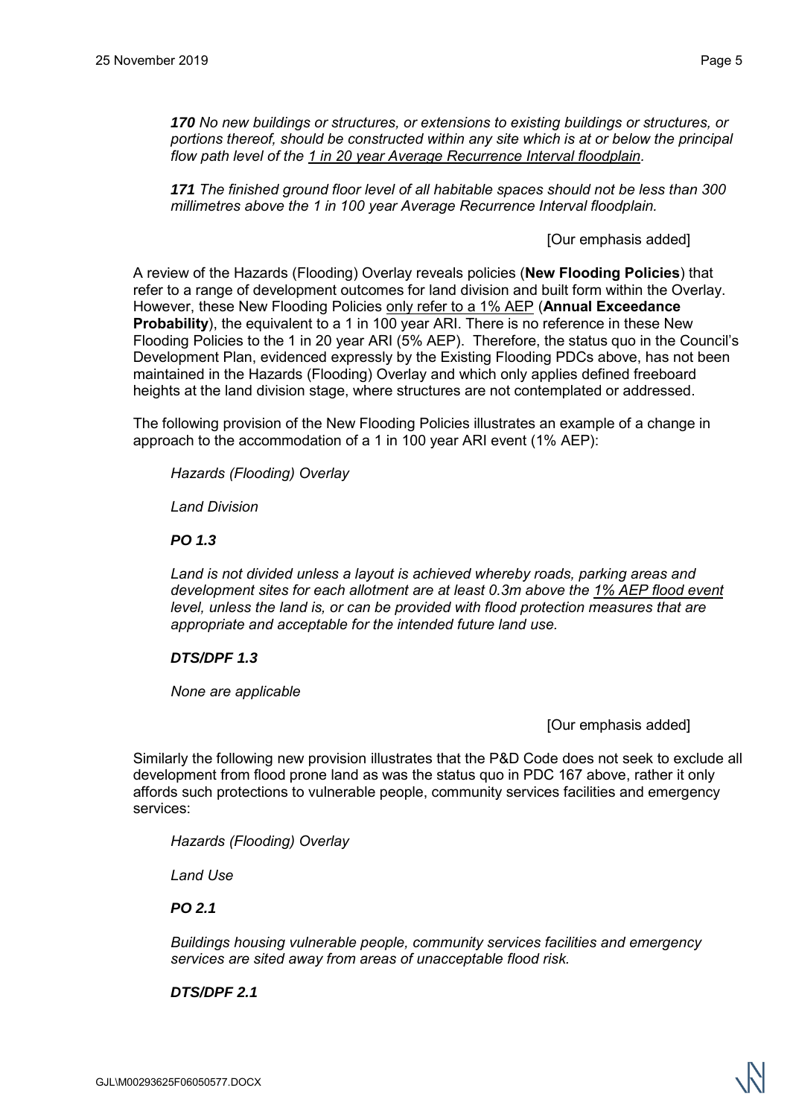*171 The finished ground floor level of all habitable spaces should not be less than 300 millimetres above the 1 in 100 year Average Recurrence Interval floodplain.* 

[Our emphasis added]

A review of the Hazards (Flooding) Overlay reveals policies (**New Flooding Policies**) that refer to a range of development outcomes for land division and built form within the Overlay. However, these New Flooding Policies only refer to a 1% AEP (**Annual Exceedance Probability**), the equivalent to a 1 in 100 year ARI. There is no reference in these New Flooding Policies to the 1 in 20 year ARI (5% AEP). Therefore, the status quo in the Council's Development Plan, evidenced expressly by the Existing Flooding PDCs above, has not been maintained in the Hazards (Flooding) Overlay and which only applies defined freeboard heights at the land division stage, where structures are not contemplated or addressed.

The following provision of the New Flooding Policies illustrates an example of a change in approach to the accommodation of a 1 in 100 year ARI event (1% AEP):

*Hazards (Flooding) Overlay* 

*Land Division* 

*PO 1.3* 

*Land is not divided unless a layout is achieved whereby roads, parking areas and development sites for each allotment are at least 0.3m above the 1% AEP flood event level, unless the land is, or can be provided with flood protection measures that are appropriate and acceptable for the intended future land use.* 

## *DTS/DPF 1.3*

*None are applicable* 

[Our emphasis added]

Similarly the following new provision illustrates that the P&D Code does not seek to exclude all development from flood prone land as was the status quo in PDC 167 above, rather it only affords such protections to vulnerable people, community services facilities and emergency services:

*Hazards (Flooding) Overlay* 

*Land Use* 

*PO 2.1* 

*Buildings housing vulnerable people, community services facilities and emergency services are sited away from areas of unacceptable flood risk.* 

*DTS/DPF 2.1*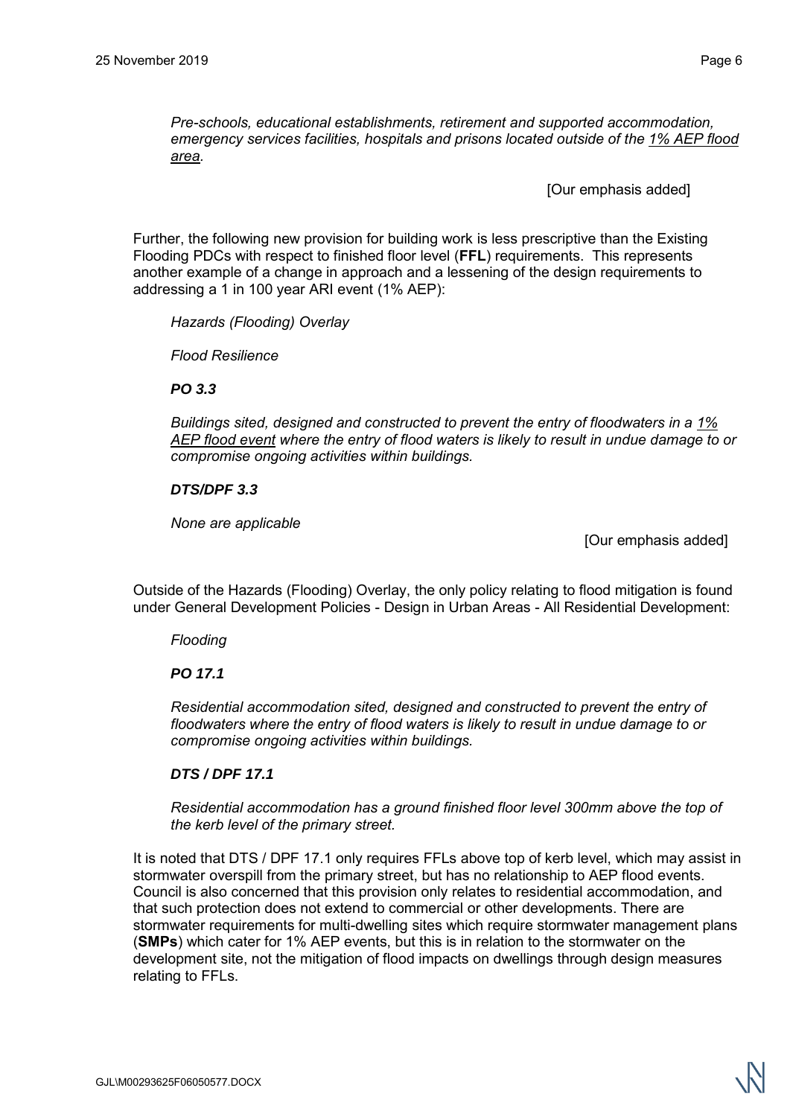*Pre-schools, educational establishments, retirement and supported accommodation, emergency services facilities, hospitals and prisons located outside of the 1% AEP flood area.* 

[Our emphasis added]

Further, the following new provision for building work is less prescriptive than the Existing Flooding PDCs with respect to finished floor level (**FFL**) requirements. This represents another example of a change in approach and a lessening of the design requirements to addressing a 1 in 100 year ARI event (1% AEP):

*Hazards (Flooding) Overlay* 

*Flood Resilience* 

*PO 3.3* 

*Buildings sited, designed and constructed to prevent the entry of floodwaters in a 1% AEP flood event where the entry of flood waters is likely to result in undue damage to or compromise ongoing activities within buildings.* 

# *DTS/DPF 3.3*

*None are applicable* 

[Our emphasis added]

Outside of the Hazards (Flooding) Overlay, the only policy relating to flood mitigation is found under General Development Policies - Design in Urban Areas - All Residential Development:

*Flooding* 

*PO 17.1* 

*Residential accommodation sited, designed and constructed to prevent the entry of floodwaters where the entry of flood waters is likely to result in undue damage to or compromise ongoing activities within buildings.* 

## *DTS / DPF 17.1*

*Residential accommodation has a ground finished floor level 300mm above the top of the kerb level of the primary street.* 

It is noted that DTS / DPF 17.1 only requires FFLs above top of kerb level, which may assist in stormwater overspill from the primary street, but has no relationship to AEP flood events. Council is also concerned that this provision only relates to residential accommodation, and that such protection does not extend to commercial or other developments. There are stormwater requirements for multi-dwelling sites which require stormwater management plans (**SMPs**) which cater for 1% AEP events, but this is in relation to the stormwater on the development site, not the mitigation of flood impacts on dwellings through design measures relating to FFLs.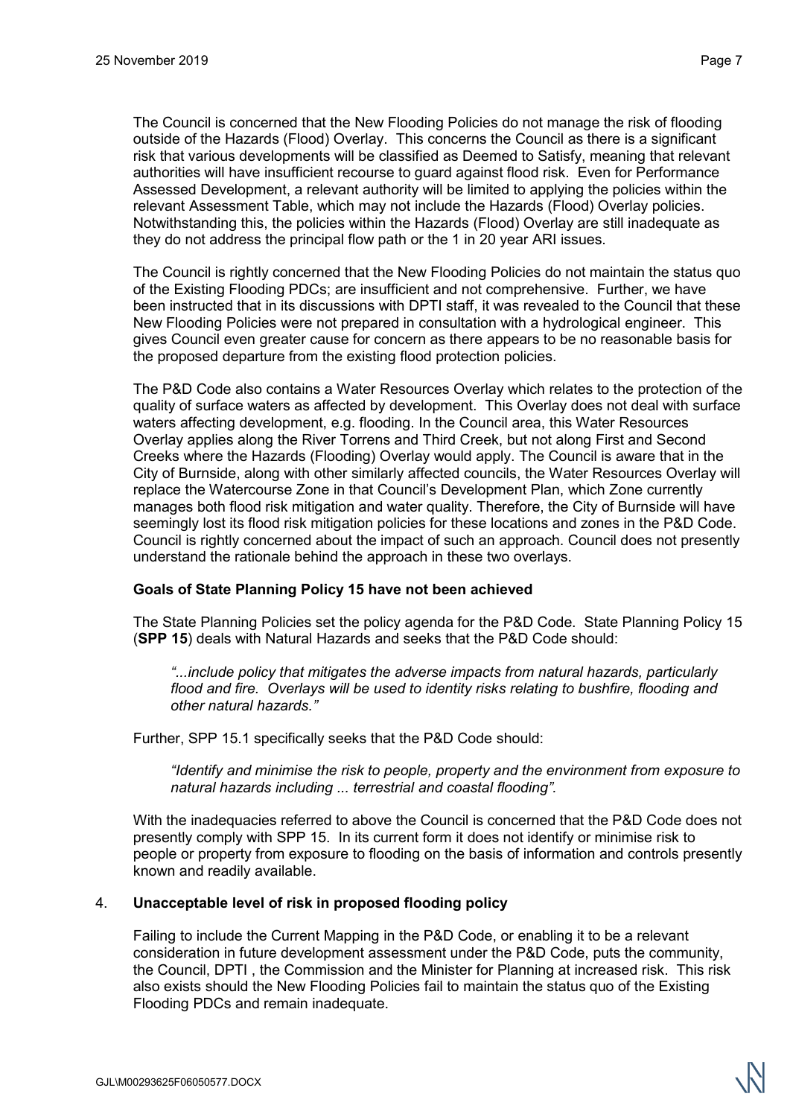The Council is concerned that the New Flooding Policies do not manage the risk of flooding outside of the Hazards (Flood) Overlay. This concerns the Council as there is a significant risk that various developments will be classified as Deemed to Satisfy, meaning that relevant authorities will have insufficient recourse to guard against flood risk. Even for Performance Assessed Development, a relevant authority will be limited to applying the policies within the relevant Assessment Table, which may not include the Hazards (Flood) Overlay policies. Notwithstanding this, the policies within the Hazards (Flood) Overlay are still inadequate as they do not address the principal flow path or the 1 in 20 year ARI issues.

The Council is rightly concerned that the New Flooding Policies do not maintain the status quo of the Existing Flooding PDCs; are insufficient and not comprehensive. Further, we have been instructed that in its discussions with DPTI staff, it was revealed to the Council that these New Flooding Policies were not prepared in consultation with a hydrological engineer. This gives Council even greater cause for concern as there appears to be no reasonable basis for the proposed departure from the existing flood protection policies.

The P&D Code also contains a Water Resources Overlay which relates to the protection of the quality of surface waters as affected by development. This Overlay does not deal with surface waters affecting development, e.g. flooding. In the Council area, this Water Resources Overlay applies along the River Torrens and Third Creek, but not along First and Second Creeks where the Hazards (Flooding) Overlay would apply. The Council is aware that in the City of Burnside, along with other similarly affected councils, the Water Resources Overlay will replace the Watercourse Zone in that Council's Development Plan, which Zone currently manages both flood risk mitigation and water quality. Therefore, the City of Burnside will have seemingly lost its flood risk mitigation policies for these locations and zones in the P&D Code. Council is rightly concerned about the impact of such an approach. Council does not presently understand the rationale behind the approach in these two overlays.

## **Goals of State Planning Policy 15 have not been achieved**

The State Planning Policies set the policy agenda for the P&D Code. State Planning Policy 15 (**SPP 15**) deals with Natural Hazards and seeks that the P&D Code should:

*"...include policy that mitigates the adverse impacts from natural hazards, particularly flood and fire. Overlays will be used to identity risks relating to bushfire, flooding and other natural hazards."* 

Further, SPP 15.1 specifically seeks that the P&D Code should:

*"Identify and minimise the risk to people, property and the environment from exposure to natural hazards including ... terrestrial and coastal flooding".* 

With the inadequacies referred to above the Council is concerned that the P&D Code does not presently comply with SPP 15. In its current form it does not identify or minimise risk to people or property from exposure to flooding on the basis of information and controls presently known and readily available.

## 4. **Unacceptable level of risk in proposed flooding policy**

Failing to include the Current Mapping in the P&D Code, or enabling it to be a relevant consideration in future development assessment under the P&D Code, puts the community, the Council, DPTI , the Commission and the Minister for Planning at increased risk. This risk also exists should the New Flooding Policies fail to maintain the status quo of the Existing Flooding PDCs and remain inadequate.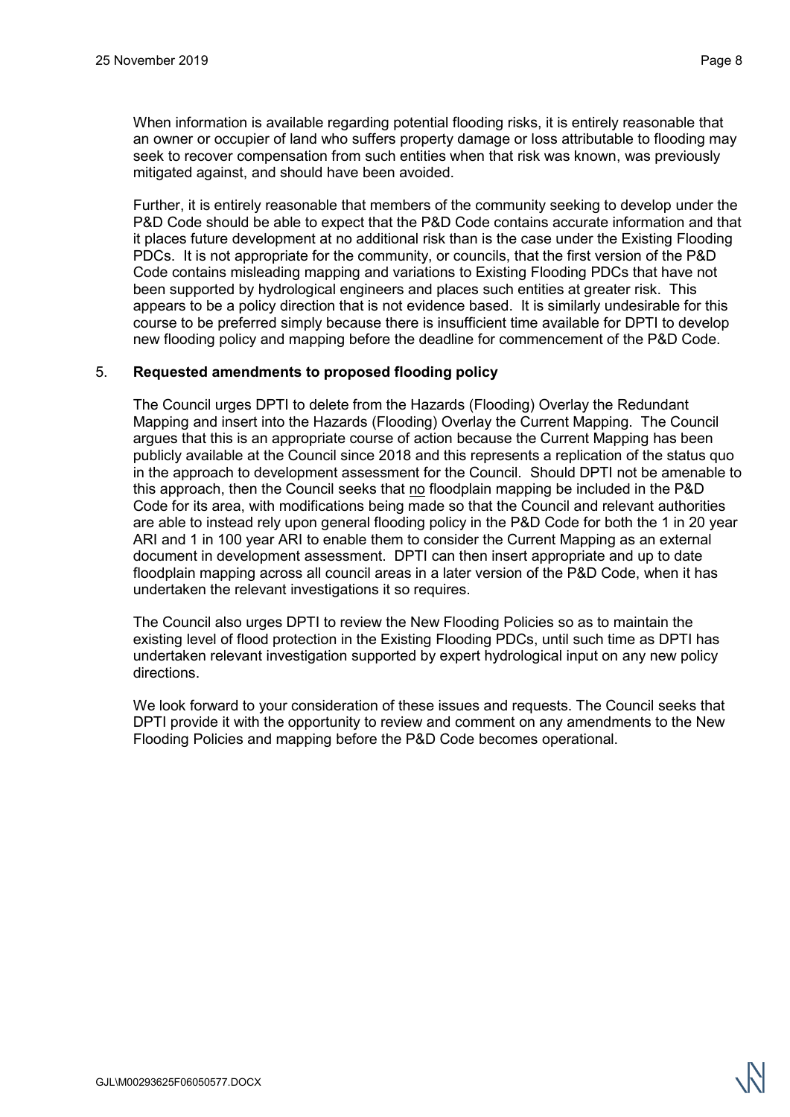When information is available regarding potential flooding risks, it is entirely reasonable that an owner or occupier of land who suffers property damage or loss attributable to flooding may seek to recover compensation from such entities when that risk was known, was previously mitigated against, and should have been avoided.

Further, it is entirely reasonable that members of the community seeking to develop under the P&D Code should be able to expect that the P&D Code contains accurate information and that it places future development at no additional risk than is the case under the Existing Flooding PDCs. It is not appropriate for the community, or councils, that the first version of the P&D Code contains misleading mapping and variations to Existing Flooding PDCs that have not been supported by hydrological engineers and places such entities at greater risk. This appears to be a policy direction that is not evidence based. It is similarly undesirable for this course to be preferred simply because there is insufficient time available for DPTI to develop new flooding policy and mapping before the deadline for commencement of the P&D Code.

## 5. **Requested amendments to proposed flooding policy**

The Council urges DPTI to delete from the Hazards (Flooding) Overlay the Redundant Mapping and insert into the Hazards (Flooding) Overlay the Current Mapping. The Council argues that this is an appropriate course of action because the Current Mapping has been publicly available at the Council since 2018 and this represents a replication of the status quo in the approach to development assessment for the Council. Should DPTI not be amenable to this approach, then the Council seeks that no floodplain mapping be included in the P&D Code for its area, with modifications being made so that the Council and relevant authorities are able to instead rely upon general flooding policy in the P&D Code for both the 1 in 20 year ARI and 1 in 100 year ARI to enable them to consider the Current Mapping as an external document in development assessment. DPTI can then insert appropriate and up to date floodplain mapping across all council areas in a later version of the P&D Code, when it has undertaken the relevant investigations it so requires.

The Council also urges DPTI to review the New Flooding Policies so as to maintain the existing level of flood protection in the Existing Flooding PDCs, until such time as DPTI has undertaken relevant investigation supported by expert hydrological input on any new policy directions.

We look forward to your consideration of these issues and requests. The Council seeks that DPTI provide it with the opportunity to review and comment on any amendments to the New Flooding Policies and mapping before the P&D Code becomes operational.